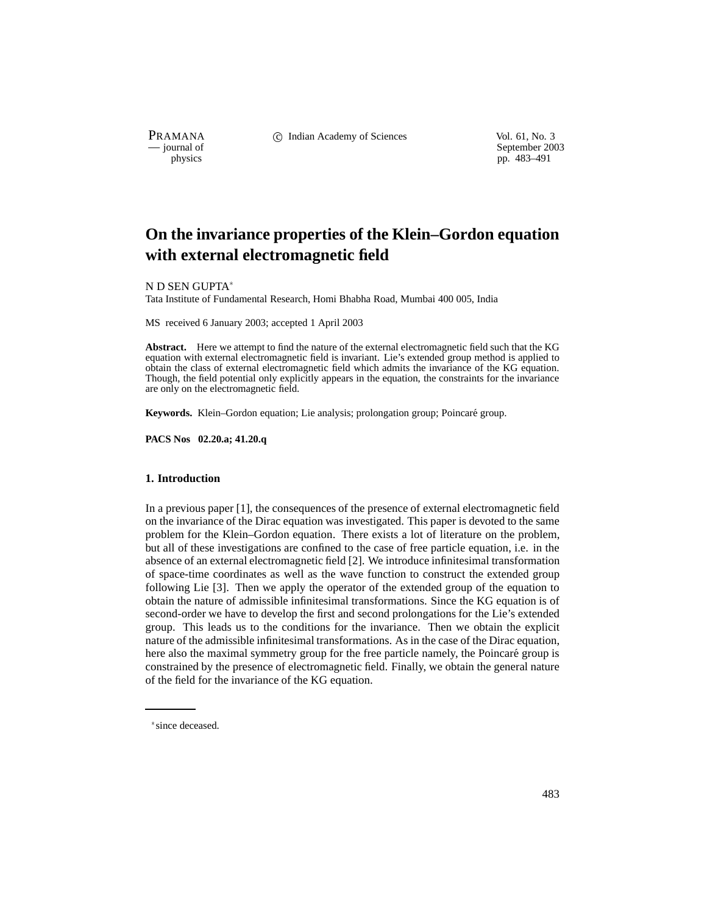PRAMANA C Indian Academy of Sciences Vol. 61, No. 3<br>
— journal of September 200

physics<br>
a general of September 2003<br>
pp. 483–491 pp. 483–491

# **On the invariance properties of the Klein–Gordon equation with external electromagnetic field**

N D SEN GUPTA

Tata Institute of Fundamental Research, Homi Bhabha Road, Mumbai 400 005, India

MS received 6 January 2003; accepted 1 April 2003

**Abstract.** Here we attempt to find the nature of the external electromagnetic field such that the KG equation with external electromagnetic field is invariant. Lie's extended group method is applied to obtain the class of external electromagnetic field which admits the invariance of the KG equation. Though, the field potential only explicitly appears in the equation, the constraints for the invariance are only on the electromagnetic field.

Keywords. Klein-Gordon equation; Lie analysis; prolongation group; Poincaré group.

**PACS Nos 02.20.a; 41.20.q**

#### **1. Introduction**

In a previous paper [1], the consequences of the presence of external electromagnetic field on the invariance of the Dirac equation was investigated. This paper is devoted to the same problem for the Klein–Gordon equation. There exists a lot of literature on the problem, but all of these investigations are confined to the case of free particle equation, i.e. in the absence of an external electromagnetic field [2]. We introduce infinitesimal transformation of space-time coordinates as well as the wave function to construct the extended group following Lie [3]. Then we apply the operator of the extended group of the equation to obtain the nature of admissible infinitesimal transformations. Since the KG equation is of second-order we have to develop the first and second prolongations for the Lie's extended group. This leads us to the conditions for the invariance. Then we obtain the explicit nature of the admissible infinitesimal transformations. As in the case of the Dirac equation, here also the maximal symmetry group for the free particle namely, the Poincaré group is constrained by the presence of electromagnetic field. Finally, we obtain the general nature of the field for the invariance of the KG equation.

since deceased.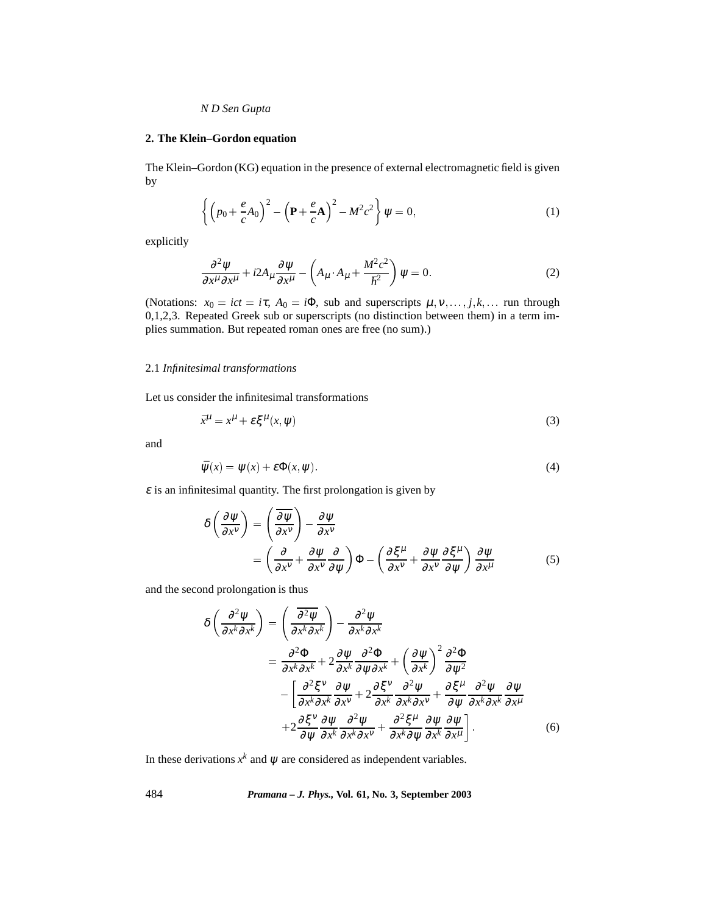# **2. The Klein–Gordon equation**

The Klein–Gordon (KG) equation in the presence of external electromagnetic field is given by

$$
\left\{ \left( p_0 + \frac{e}{c} A_0 \right)^2 - \left( \mathbf{P} + \frac{e}{c} \mathbf{A} \right)^2 - M^2 c^2 \right\} \psi = 0, \tag{1}
$$

explicitly

$$
\frac{\partial^2 \psi}{\partial x^{\mu} \partial x^{\mu}} + i2A_{\mu} \frac{\partial \psi}{\partial x^{\mu}} - \left(A_{\mu} \cdot A_{\mu} + \frac{M^2 c^2}{\hbar^2}\right) \psi = 0.
$$
 (2)

(Notations:  $x_0 = ict = i\tau$ ,  $A_0 = i\Phi$ , sub and superscripts  $\mu, \nu, \ldots, j, k, \ldots$  run through 0,1,2,3. Repeated Greek sub or superscripts (no distinction between them) in a term implies summation. But repeated roman ones are free (no sum).)

## 2.1 *Infinitesimal transformations*

Let us consider the infinitesimal transformations

$$
\bar{x}^{\mu} = x^{\mu} + \varepsilon \xi^{\mu}(x, \psi) \tag{3}
$$

and

$$
\bar{\psi}(x) = \psi(x) + \varepsilon \Phi(x, \psi). \tag{4}
$$

 $\epsilon$  is an infinitesimal quantity. The first prolongation is given by

$$
\delta \left( \frac{\partial \psi}{\partial x^{\nu}} \right) = \left( \frac{\overline{\partial \psi}}{\partial x^{\nu}} \right) - \frac{\partial \psi}{\partial x^{\nu}}
$$
  
=  $\left( \frac{\partial}{\partial x^{\nu}} + \frac{\partial \psi}{\partial x^{\nu}} \frac{\partial}{\partial \psi} \right) \Phi - \left( \frac{\partial \xi^{\mu}}{\partial x^{\nu}} + \frac{\partial \psi}{\partial x^{\nu}} \frac{\partial \xi^{\mu}}{\partial \psi} \right) \frac{\partial \psi}{\partial x^{\mu}}$  (5)

and the second prolongation is thus

$$
\delta \left( \frac{\partial^2 \psi}{\partial x^k \partial x^k} \right) = \left( \frac{\overline{\partial^2 \psi}}{\partial x^k \partial x^k} \right) - \frac{\partial^2 \psi}{\partial x^k \partial x^k}
$$
  
\n
$$
= \frac{\partial^2 \Phi}{\partial x^k \partial x^k} + 2 \frac{\partial \psi}{\partial x^k} \frac{\partial^2 \Phi}{\partial \psi \partial x^k} + \left( \frac{\partial \psi}{\partial x^k} \right)^2 \frac{\partial^2 \Phi}{\partial \psi^2}
$$
  
\n
$$
- \left[ \frac{\partial^2 \xi^v}{\partial x^k \partial x^k} \frac{\partial \psi}{\partial x^v} + 2 \frac{\partial \xi^v}{\partial x^k} \frac{\partial^2 \psi}{\partial x^k \partial x^v} + \frac{\partial \xi^{\mu}}{\partial \psi} \frac{\partial^2 \psi}{\partial x^k \partial x^k} \frac{\partial \psi}{\partial x^{\mu}}
$$
  
\n
$$
+ 2 \frac{\partial \xi^v}{\partial \psi} \frac{\partial \psi}{\partial x^k} \frac{\partial^2 \psi}{\partial x^k \partial x^v} + \frac{\partial^2 \xi^{\mu}}{\partial x^k \partial \psi} \frac{\partial \psi}{\partial x^k} \frac{\partial \psi}{\partial x^{\mu}} \right]
$$
(6)

In these derivations  $x^k$  and  $\psi$  are considered as independent variables.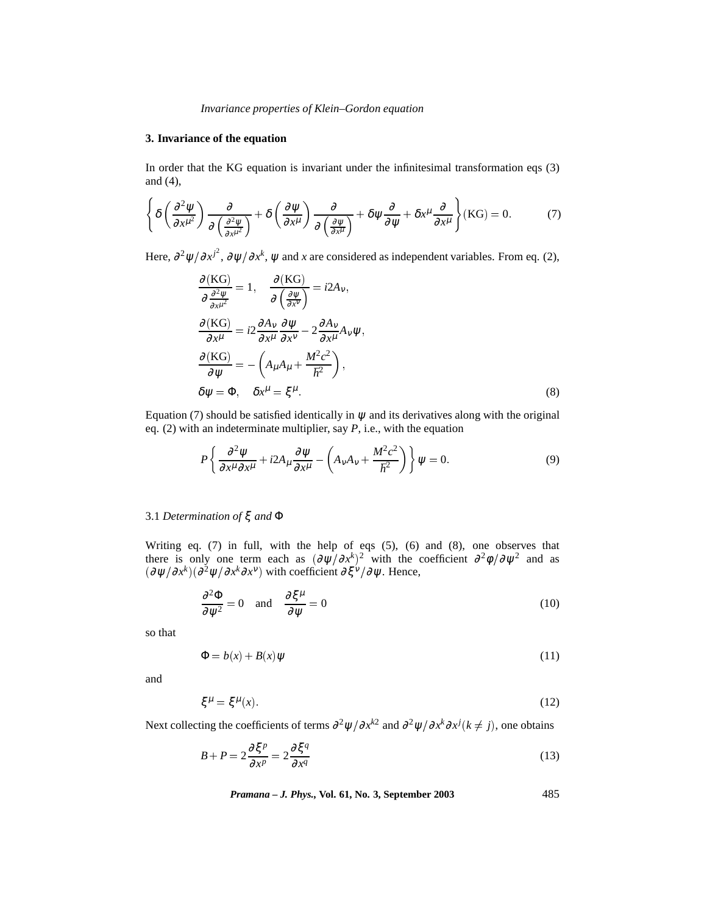# **3. Invariance of the equation**

In order that the KG equation is invariant under the infinitesimal transformation eqs (3) and (4),

$$
\left\{\delta\left(\frac{\partial^2 \psi}{\partial x^{\mu^2}}\right) \frac{\partial}{\partial \left(\frac{\partial^2 \psi}{\partial x^{\mu^2}}\right)} + \delta\left(\frac{\partial \psi}{\partial x^{\mu}}\right) \frac{\partial}{\partial \left(\frac{\partial \psi}{\partial x^{\mu}}\right)} + \delta\psi \frac{\partial}{\partial \psi} + \delta x^{\mu} \frac{\partial}{\partial x^{\mu}}\right\} (KG) = 0. \tag{7}
$$

Here,  $\partial^2 \psi / \partial x^{j^2}$ ,  $\partial \psi / \partial x^k$ ,  $\psi$  and *x* are considered as independent variables. From eq. (2),

$$
\frac{\partial (KG)}{\partial \frac{\partial^2 \psi}{\partial x^{\mu^2}}} = 1, \quad \frac{\partial (KG)}{\partial (\frac{\partial \psi}{\partial x^{\nu}})} = i2A_v,
$$
  

$$
\frac{\partial (KG)}{\partial x^{\mu}} = i2 \frac{\partial A_v}{\partial x^{\mu}} \frac{\partial \psi}{\partial x^{\nu}} - 2 \frac{\partial A_v}{\partial x^{\mu}} A_v \psi,
$$
  

$$
\frac{\partial (KG)}{\partial \psi} = -\left(A_{\mu} A_{\mu} + \frac{M^2 c^2}{\hbar^2}\right),
$$
  

$$
\delta \psi = \Phi, \quad \delta x^{\mu} = \xi^{\mu}.
$$
 (8)

Equation (7) should be satisfied identically in  $\psi$  and its derivatives along with the original eq. (2) with an indeterminate multiplier, say *P*, i.e., with the equation

$$
P\left\{\frac{\partial^2 \psi}{\partial x^\mu \partial x^\mu} + i2A_\mu \frac{\partial \psi}{\partial x^\mu} - \left(A_\nu A_\nu + \frac{M^2 c^2}{\hbar^2}\right)\right\} \psi = 0. \tag{9}
$$

# 3.1 *Determination of* ξ *and* Φ

Writing eq. (7) in full, with the help of eqs (5), (6) and (8), one observes that there is only one term each as  $(\partial \psi / \partial x^k)^2$  with the coefficient  $\partial^2 \phi / \partial \psi^2$  and as  $(\partial \psi / \partial x^k)(\partial^2 \psi / \partial x^k \partial x^{\nu})$  with coefficient  $\partial \xi^{\nu} / \partial \psi$ . Hence,

$$
\frac{\partial^2 \Phi}{\partial \psi^2} = 0 \quad \text{and} \quad \frac{\partial \xi^{\mu}}{\partial \psi} = 0 \tag{10}
$$

so that

$$
\Phi = b(x) + B(x)\psi \tag{11}
$$

and

$$
\xi^{\mu} = \xi^{\mu}(x). \tag{12}
$$

Next collecting the coefficients of terms  $\partial^2 \psi / \partial x^{k2}$  and  $\partial^2 \psi / \partial x^k \partial x^j (k \neq j)$ , one obtains

$$
B + P = 2\frac{\partial \xi^p}{\partial x^p} = 2\frac{\partial \xi^q}{\partial x^q}
$$
 (13)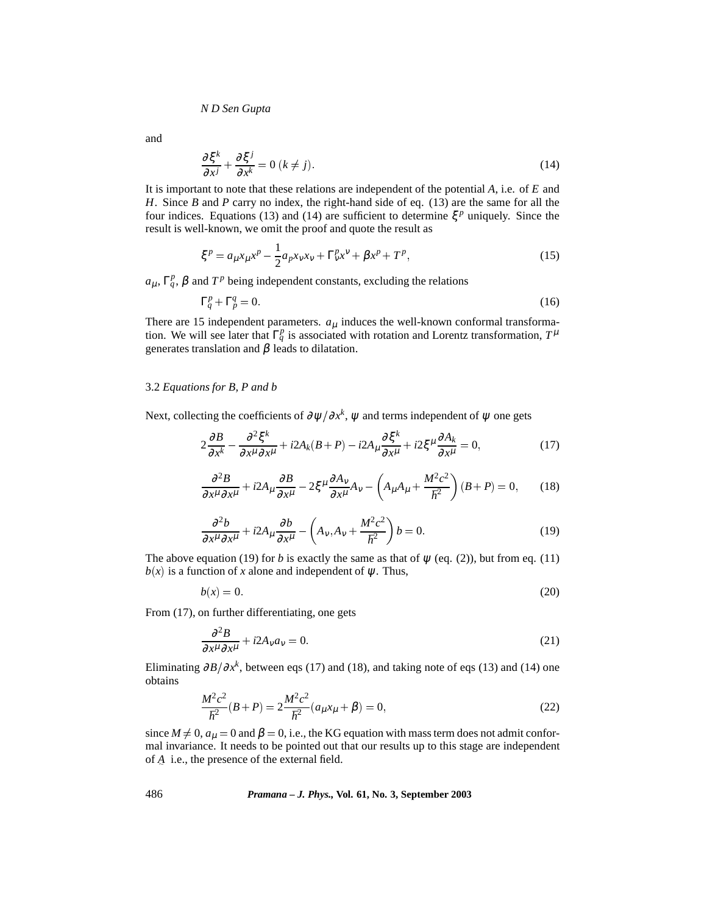and

$$
\frac{\partial \xi^k}{\partial x^j} + \frac{\partial \xi^j}{\partial x^k} = 0 \ (k \neq j). \tag{14}
$$

It is important to note that these relations are independent of the potential *A*, i.e. of *E* and *H*. Since *B* and *P* carry no index, the right-hand side of eq. (13) are the same for all the four indices. Equations (13) and (14) are sufficient to determine  $\xi^p$  uniquely. Since the result is well-known, we omit the proof and quote the result as

$$
\xi^{p} = a_{\mu} x_{\mu} x^{p} - \frac{1}{2} a_{p} x_{\nu} x_{\nu} + \Gamma^p_{\nu} x^{\nu} + \beta x^p + T^p,
$$
\n(15)

 $a_{\mu}$ ,  $\Gamma_q^p$ ,  $\beta$  and  $T^p$  being independent constants, excluding the relations

$$
\Gamma_q^p + \Gamma_p^q = 0. \tag{16}
$$

There are 15 independent parameters.  $a_{\mu}$  induces the well-known conformal transformation. We will see later that  $\Gamma_q^p$  is associated with rotation and Lorentz transformation,  $T^{\mu}$ generates translation and  $\beta$  leads to dilatation.

# 3.2 *Equations for B, P and b*

Next, collecting the coefficients of  $\partial \psi / \partial x^k$ ,  $\psi$  and terms independent of  $\psi$  one gets

$$
2\frac{\partial B}{\partial x^k} - \frac{\partial^2 \xi^k}{\partial x^\mu \partial x^\mu} + i2A_k(B+P) - i2A_\mu \frac{\partial \xi^k}{\partial x^\mu} + i2\xi^\mu \frac{\partial A_k}{\partial x^\mu} = 0,\tag{17}
$$

$$
\frac{\partial^2 B}{\partial x^\mu \partial x^\mu} + i2A_\mu \frac{\partial B}{\partial x^\mu} - 2\xi^\mu \frac{\partial A_\nu}{\partial x^\mu} A_\nu - \left( A_\mu A_\mu + \frac{M^2 c^2}{\hbar^2} \right) (B + P) = 0, \qquad (18)
$$

$$
\frac{\partial^2 b}{\partial x^\mu \partial x^\mu} + i2A_\mu \frac{\partial b}{\partial x^\mu} - \left(A_\nu, A_\nu + \frac{M^2 c^2}{\hbar^2}\right) b = 0. \tag{19}
$$

The above equation (19) for *b* is exactly the same as that of  $\psi$  (eq. (2)), but from eq. (11)  $b(x)$  is a function of *x* alone and independent of  $\psi$ . Thus,

$$
b(x) = 0.\tag{20}
$$

From (17), on further differentiating, one gets

$$
\frac{\partial^2 B}{\partial x^\mu \partial x^\mu} + i2A_V a_V = 0. \tag{21}
$$

Eliminating  $\partial B/\partial x^k$ , between eqs (17) and (18), and taking note of eqs (13) and (14) one obtains

$$
\frac{M^2c^2}{\hbar^2}(B+P) = 2\frac{M^2c^2}{\hbar^2}(a_\mu x_\mu + \beta) = 0,
$$
\n(22)

since  $M \neq 0$ ,  $a_{\mu} = 0$  and  $\beta = 0$ , i.e., the KG equation with mass term does not admit conformal invariance. It needs to be pointed out that our results up to this stage are independent of *A* i.e., the presence of the external field.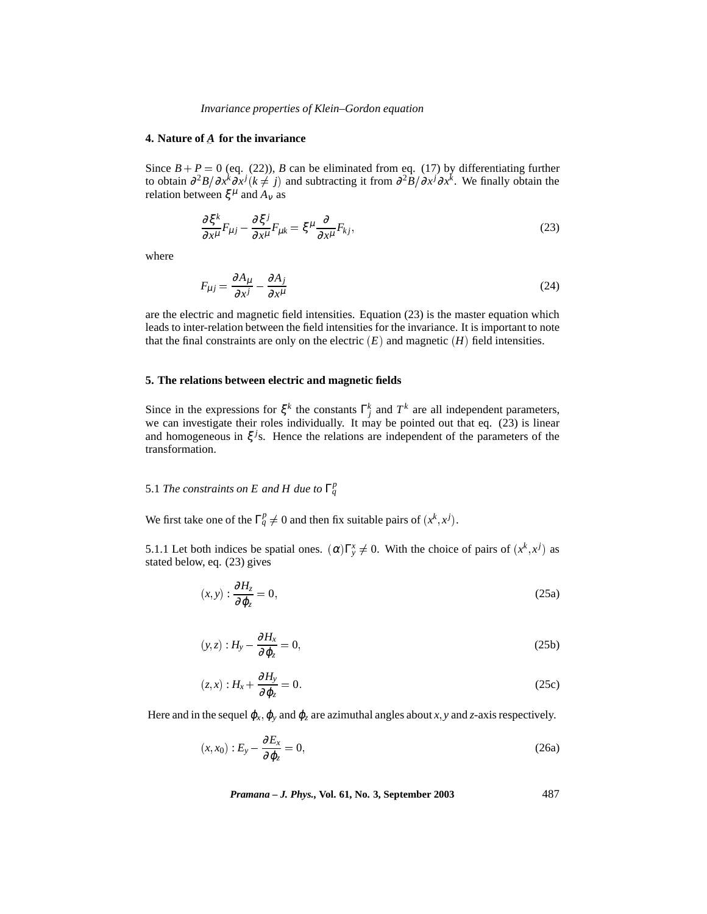#### **4. Nature of** *A* **for the invariance**

Since  $B + P = 0$  (eq. (22)), *B* can be eliminated from eq. (17) by differentiating further to obtain  $\frac{\partial^2 B}{\partial x^i}$  *o* $\frac{\partial^2 B}{\partial x^j}$  *k*  $\neq j$  and subtracting it from  $\frac{\partial^2 B}{\partial x^j}$  ∂ $\frac{\partial x^k}{\partial x^k}$ . We finally obtain the relation between  $\xi^{\mu}$  and  $A_{\nu}$  as

$$
\frac{\partial \xi^k}{\partial x^\mu} F_{\mu j} - \frac{\partial \xi^j}{\partial x^\mu} F_{\mu k} = \xi^\mu \frac{\partial}{\partial x^\mu} F_{kj},\tag{23}
$$

where

$$
F_{\mu j} = \frac{\partial A_{\mu}}{\partial x^{j}} - \frac{\partial A_{j}}{\partial x^{\mu}}
$$
\n(24)

are the electric and magnetic field intensities. Equation (23) is the master equation which leads to inter-relation between the field intensities for the invariance. It is important to note that the final constraints are only on the electric  $(E)$  and magnetic  $(H)$  field intensities.

#### **5. The relations between electric and magnetic fields**

Since in the expressions for  $\xi^k$  the constants  $\Gamma^k_j$  and  $T^k$  are all independent parameters, we can investigate their roles individually. It may be pointed out that eq.  $(23)$  is linear and homogeneous in  $\xi^{j}$ s. Hence the relations are independent of the parameters of the transformation.

# 5.1 *The constraints on E and H due to*  $\Gamma_q^p$

We first take one of the  $\Gamma_q^p \neq 0$  and then fix suitable pairs of  $(x^k, x^j)$ .

5.1.1 Let both indices be spatial ones.  $(\alpha) \Gamma_y^x \neq 0$ . With the choice of pairs of  $(x^k, x^j)$  as stated below, eq. (23) gives

$$
(x,y): \frac{\partial H_z}{\partial \varphi_z} = 0, \tag{25a}
$$

$$
(y, z) : H_y - \frac{\partial H_x}{\partial \varphi_z} = 0,
$$
\n(25b)

$$
(z,x):H_x + \frac{\partial H_y}{\partial \varphi_z} = 0. \tag{25c}
$$

Here and in the sequel  $\varphi_x$ ,  $\varphi_y$  and  $\varphi_z$  are azimuthal angles about *x*, *y* and *z*-axis respectively.

$$
(x, x_0) : E_y - \frac{\partial E_x}{\partial \varphi_z} = 0,
$$
\n(26a)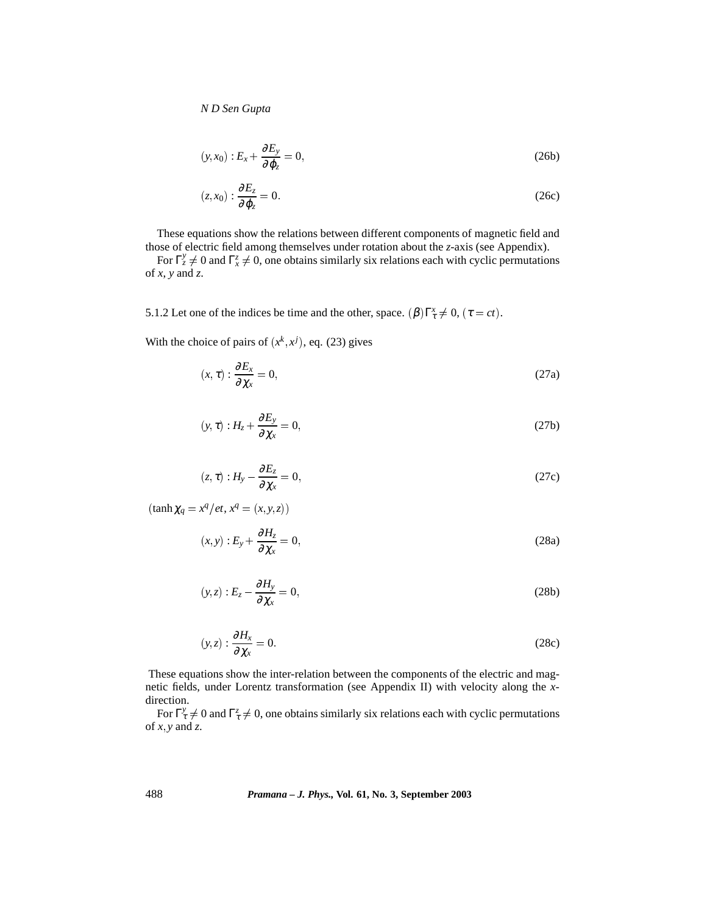$$
(y, x_0) : E_x + \frac{\partial E_y}{\partial \varphi_z} = 0,
$$
\n(26b)

$$
(z, x_0) : \frac{\partial E_z}{\partial \varphi_z} = 0. \tag{26c}
$$

These equations show the relations between different components of magnetic field and those of electric field among themselves under rotation about the *z*-axis (see Appendix).

For  $\Gamma_z^y \neq 0$  and  $\Gamma_x^z \neq 0$ , one obtains similarly six relations each with cyclic permutations of  $x$ ,  $y$  and  $z$ .

5.1.2 Let one of the indices be time and the other, space.  $(\beta) \Gamma_{\tau}^x \neq 0$ ,  $(\tau = ct)$ .

With the choice of pairs of  $(x^k, x^j)$ , eq. (23) gives

$$
(x,\tau): \frac{\partial E_x}{\partial \chi_x} = 0, \tag{27a}
$$

$$
(y, \tau) : H_z + \frac{\partial E_y}{\partial \chi_x} = 0,
$$
\n(27b)

$$
(z,\tau):H_{y}-\frac{\partial E_{z}}{\partial \chi_{x}}=0,
$$
\n(27c)

 $(\tanh \chi_q = x^q / et, x^q = (x, y, z))$ 

$$
(x, y) : E_y + \frac{\partial H_z}{\partial \chi_x} = 0,
$$
\n(28a)

$$
(y, z) : E_z - \frac{\partial H_y}{\partial \chi_x} = 0,
$$
\n(28b)

$$
(y, z) : \frac{\partial H_x}{\partial \chi_x} = 0. \tag{28c}
$$

These equations show the inter-relation between the components of the electric and magnetic fields, under Lorentz transformation (see Appendix II) with velocity along the *x*direction.

For  $\Gamma^y_\tau \neq 0$  and  $\Gamma^z_\tau \neq 0$ , one obtains similarly six relations each with cyclic permutations of  $x, y$  and  $z$ .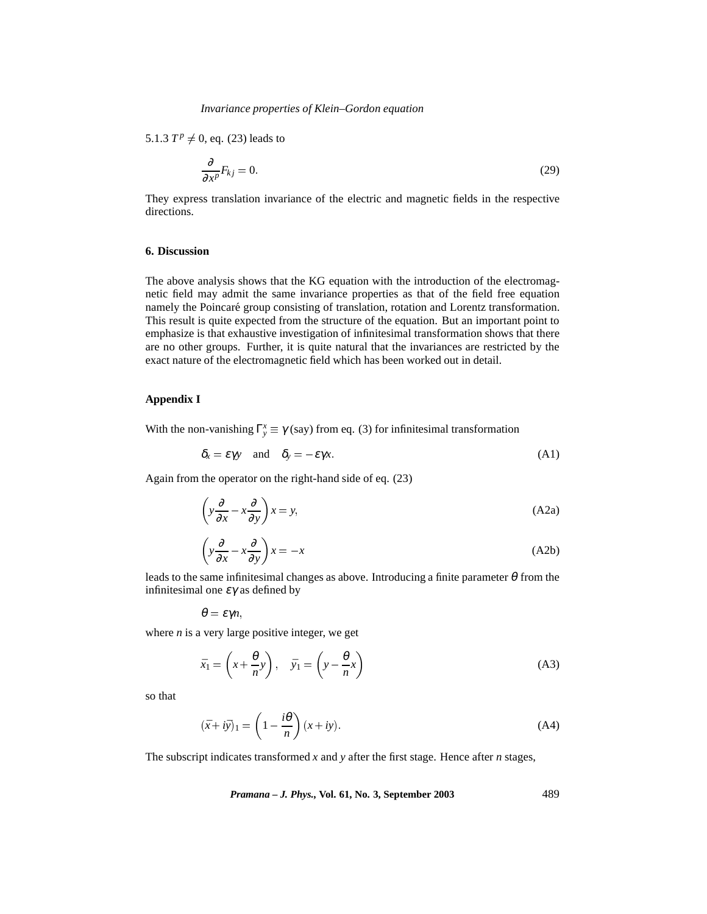5.1.3  $T^p \neq 0$ , eq. (23) leads to

$$
\frac{\partial}{\partial x^p} F_{kj} = 0. \tag{29}
$$

They express translation invariance of the electric and magnetic fields in the respective directions.

## **6. Discussion**

The above analysis shows that the KG equation with the introduction of the electromagnetic field may admit the same invariance properties as that of the field free equation namely the Poincaré group consisting of translation, rotation and Lorentz transformation. This result is quite expected from the structure of the equation. But an important point to emphasize is that exhaustive investigation of infinitesimal transformation shows that there are no other groups. Further, it is quite natural that the invariances are restricted by the exact nature of the electromagnetic field which has been worked out in detail.

# **Appendix I**

With the non-vanishing  $\Gamma_y^x \equiv \gamma$  (say) from eq. (3) for infinitesimal transformation

$$
\delta_x = \varepsilon \gamma y \quad \text{and} \quad \delta_y = -\varepsilon \gamma x. \tag{A1}
$$

Again from the operator on the right-hand side of eq. (23)

$$
\left(y\frac{\partial}{\partial x} - x\frac{\partial}{\partial y}\right)x = y,\tag{A2a}
$$

$$
\left(y\frac{\partial}{\partial x} - x\frac{\partial}{\partial y}\right)x = -x\tag{A2b}
$$

leads to the same infinitesimal changes as above. Introducing a finite parameter  $\theta$  from the infinitesimal one  $\varepsilon \gamma$  as defined by

$$
\theta=\varepsilon\gamma n,
$$

where  $n$  is a very large positive integer, we get

$$
\bar{x}_1 = \left(x + \frac{\theta}{n}y\right), \quad \bar{y}_1 = \left(y - \frac{\theta}{n}x\right)
$$
\n(A3)

so that

$$
(\bar{x} + i\bar{y})_1 = \left(1 - \frac{i\theta}{n}\right)(x + iy).
$$
 (A4)

The subscript indicates transformed *x* and *y* after the first stage. Hence after *n* stages,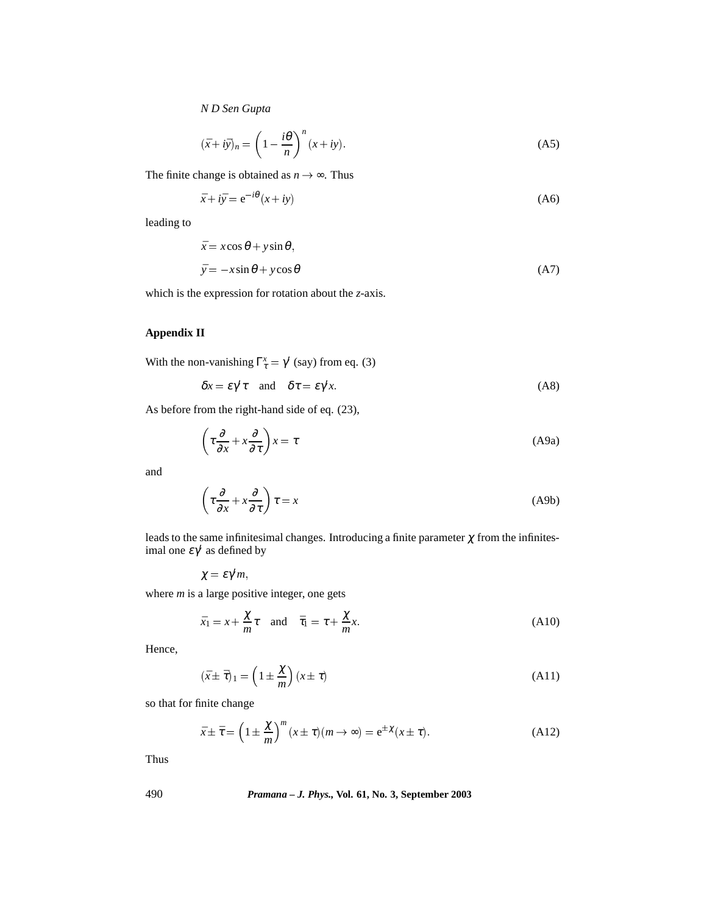$$
(\bar{x} + i\bar{y})_n = \left(1 - \frac{i\theta}{n}\right)^n (x + iy).
$$
 (A5)

The finite change is obtained as  $n \to \infty$ . Thus *i*θ

$$
\bar{x} + i\bar{y} = e^{-i\theta}(x + iy) \tag{A6}
$$

leading to

$$
\bar{x} = x\cos\theta + y\sin\theta, \n\bar{y} = -x\sin\theta + y\cos\theta
$$
\n(A7)

which is the expression for rotation about the *z*-axis.

# **Appendix II**

With the non-vanishing  $\Gamma_{\tau}^x = \gamma'$  (say) from eq. (3)

$$
\delta x = \varepsilon \gamma' \tau \quad \text{and} \quad \delta \tau = \varepsilon \gamma' x. \tag{A8}
$$

As before from the right-hand side of eq. (23),

$$
\left(\tau \frac{\partial}{\partial x} + x \frac{\partial}{\partial \tau}\right) x = \tau
$$
\n(A9a)

and

$$
\left(\tau \frac{\partial}{\partial x} + x \frac{\partial}{\partial \tau}\right) \tau = x \tag{A9b}
$$

leads to the same infinitesimal changes. Introducing a finite parameter  $\chi$  from the infinitesimal one  $\varepsilon \gamma'$  as defined by

$$
\chi=\varepsilon\gamma'm,
$$

where *m* is a large positive integer, one gets

$$
\bar{x}_1 = x + \frac{\chi}{m}\tau \quad \text{and} \quad \bar{\tau}_1 = \tau + \frac{\chi}{m}x. \tag{A10}
$$

Hence,

$$
(\bar{x} \pm \bar{\tau})_1 = \left(1 \pm \frac{\chi}{m}\right)(x \pm \tau) \tag{A11}
$$

so that for finite change

$$
\bar{x} \pm \bar{\tau} = \left(1 \pm \frac{\chi}{m}\right)^m (x \pm \tau)(m \to \infty) = e^{\pm \chi}(x \pm \tau).
$$
 (A12)

Thus